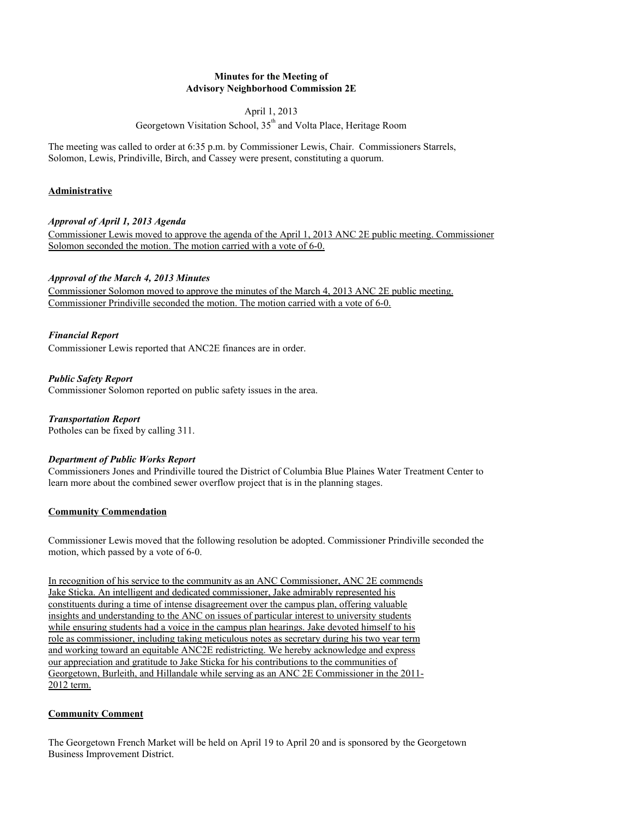## **Minutes for the Meeting of Advisory Neighborhood Commission 2E**

### April 1, 2013

Georgetown Visitation School,  $35<sup>th</sup>$  and Volta Place, Heritage Room

The meeting was called to order at 6:35 p.m. by Commissioner Lewis, Chair. Commissioners Starrels, Solomon, Lewis, Prindiville, Birch, and Cassey were present, constituting a quorum.

## **Administrative**

### *Approval of April 1, 2013 Agenda*

Commissioner Lewis moved to approve the agenda of the April 1, 2013 ANC 2E public meeting. Commissioner Solomon seconded the motion. The motion carried with a vote of 6-0.

### *Approval of the March 4, 2013 Minutes*

Commissioner Solomon moved to approve the minutes of the March 4, 2013 ANC 2E public meeting. Commissioner Prindiville seconded the motion. The motion carried with a vote of 6-0.

### *Financial Report*

Commissioner Lewis reported that ANC2E finances are in order.

*Public Safety Report* Commissioner Solomon reported on public safety issues in the area.

*Transportation Report* Potholes can be fixed by calling 311.

## *Department of Public Works Report*

Commissioners Jones and Prindiville toured the District of Columbia Blue Plaines Water Treatment Center to learn more about the combined sewer overflow project that is in the planning stages.

## **Community Commendation**

Commissioner Lewis moved that the following resolution be adopted. Commissioner Prindiville seconded the motion, which passed by a vote of 6-0.

In recognition of his service to the community as an ANC Commissioner, ANC 2E commends Jake Sticka. An intelligent and dedicated commissioner, Jake admirably represented his constituents during a time of intense disagreement over the campus plan, offering valuable insights and understanding to the ANC on issues of particular interest to university students while ensuring students had a voice in the campus plan hearings. Jake devoted himself to his role as commissioner, including taking meticulous notes as secretary during his two year term and working toward an equitable ANC2E redistricting. We hereby acknowledge and express our appreciation and gratitude to Jake Sticka for his contributions to the communities of Georgetown, Burleith, and Hillandale while serving as an ANC 2E Commissioner in the 2011- 2012 term.

## **Community Comment**

The Georgetown French Market will be held on April 19 to April 20 and is sponsored by the Georgetown Business Improvement District.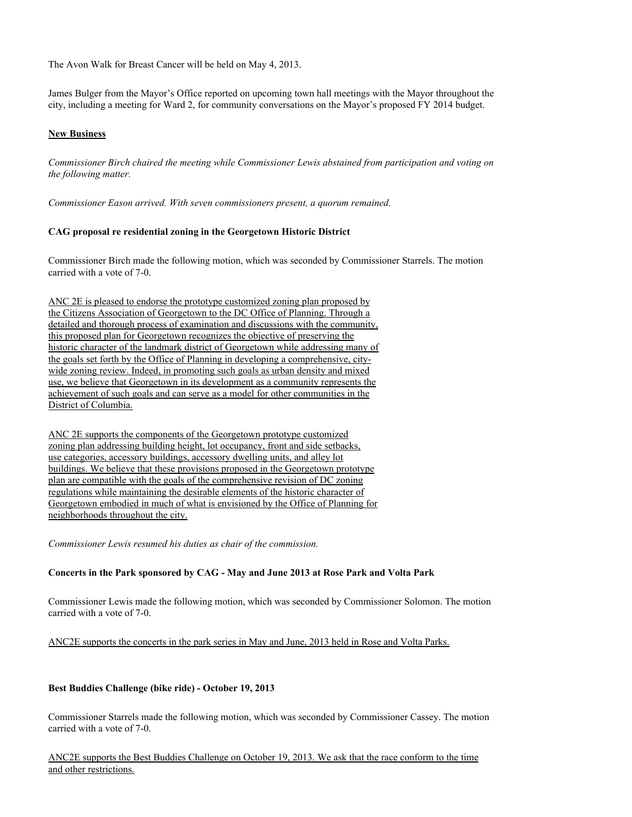The Avon Walk for Breast Cancer will be held on May 4, 2013.

James Bulger from the Mayor's Office reported on upcoming town hall meetings with the Mayor throughout the city, including a meeting for Ward 2, for community conversations on the Mayor's proposed FY 2014 budget.

## **New Business**

*Commissioner Birch chaired the meeting while Commissioner Lewis abstained from participation and voting on the following matter.*

*Commissioner Eason arrived. With seven commissioners present, a quorum remained.*

#### **CAG proposal re residential zoning in the Georgetown Historic District**

Commissioner Birch made the following motion, which was seconded by Commissioner Starrels. The motion carried with a vote of 7-0.

ANC 2E is pleased to endorse the prototype customized zoning plan proposed by the Citizens Association of Georgetown to the DC Office of Planning. Through a detailed and thorough process of examination and discussions with the community, this proposed plan for Georgetown recognizes the objective of preserving the historic character of the landmark district of Georgetown while addressing many of the goals set forth by the Office of Planning in developing a comprehensive, citywide zoning review. Indeed, in promoting such goals as urban density and mixed use, we believe that Georgetown in its development as a community represents the achievement of such goals and can serve as a model for other communities in the District of Columbia.

ANC 2E supports the components of the Georgetown prototype customized zoning plan addressing building height, lot occupancy, front and side setbacks, use categories, accessory buildings, accessory dwelling units, and alley lot buildings. We believe that these provisions proposed in the Georgetown prototype plan are compatible with the goals of the comprehensive revision of DC zoning regulations while maintaining the desirable elements of the historic character of Georgetown embodied in much of what is envisioned by the Office of Planning for neighborhoods throughout the city.

*Commissioner Lewis resumed his duties as chair of the commission.*

#### **Concerts in the Park sponsored by CAG - May and June 2013 at Rose Park and Volta Park**

Commissioner Lewis made the following motion, which was seconded by Commissioner Solomon. The motion carried with a vote of 7-0.

#### ANC2E supports the concerts in the park series in May and June, 2013 held in Rose and Volta Parks.

#### **Best Buddies Challenge (bike ride) - October 19, 2013**

Commissioner Starrels made the following motion, which was seconded by Commissioner Cassey. The motion carried with a vote of 7-0.

ANC2E supports the Best Buddies Challenge on October 19, 2013. We ask that the race conform to the time and other restrictions.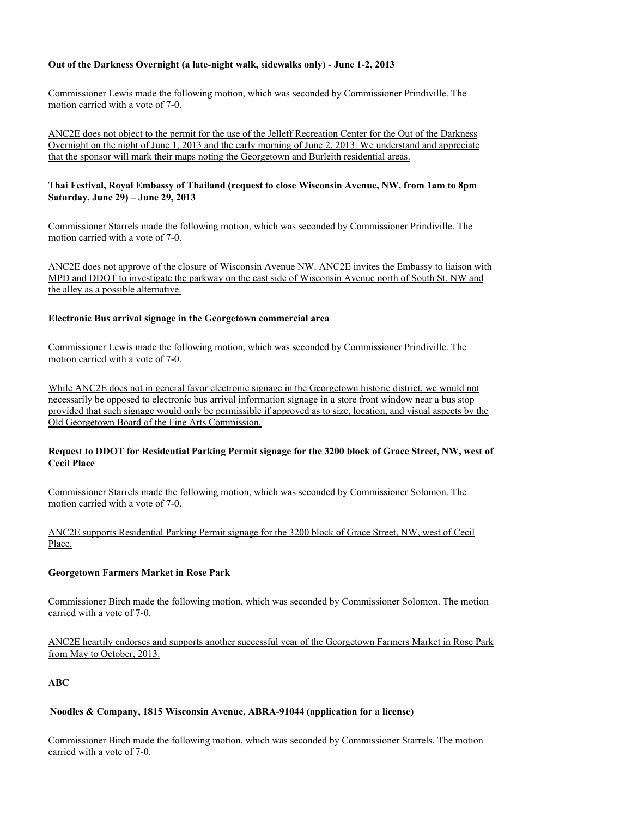### **Out of the Darkness Overnight (a late-night walk, sidewalks only) - June 1-2, 2013**

Commissioner Lewis made the following motion, which was seconded by Commissioner Prindiville. The motion carried with a vote of 7-0.

ANC2E does not object to the permit for the use of the Jelleff Recreation Center for the Out of the Darkness Overnight on the night of June 1, 2013 and the early morning of June 2, 2013. We understand and appreciate that the sponsor will mark their maps noting the Georgetown and Burleith residential areas.

### **Thai Festival, Royal Embassy of Thailand (request to close Wisconsin Avenue, NW, from 1am to 8pm Saturday, June 29) – June 29, 2013**

Commissioner Starrels made the following motion, which was seconded by Commissioner Prindiville. The motion carried with a vote of 7-0.

ANC2E does not approve of the closure of Wisconsin Avenue NW. ANC2E invites the Embassy to liaison with MPD and DDOT to investigate the parkway on the east side of Wisconsin Avenue north of South St. NW and the alley as a possible alternative.

#### **Electronic Bus arrival signage in the Georgetown commercial area**

Commissioner Lewis made the following motion, which was seconded by Commissioner Prindiville. The motion carried with a vote of 7-0.

While ANC2E does not in general favor electronic signage in the Georgetown historic district, we would not necessarily be opposed to electronic bus arrival information signage in a store front window near a bus stop provided that such signage would only be permissible if approved as to size, location, and visual aspects by the Old Georgetown Board of the Fine Arts Commission.

### **Request to DDOT for Residential Parking Permit signage for the 3200 block of Grace Street, NW, west of Cecil Place**

Commissioner Starrels made the following motion, which was seconded by Commissioner Solomon. The motion carried with a vote of 7-0.

ANC2E supports Residential Parking Permit signage for the 3200 block of Grace Street, NW, west of Cecil Place.

#### **Georgetown Farmers Market in Rose Park**

Commissioner Birch made the following motion, which was seconded by Commissioner Solomon. The motion carried with a vote of 7-0.

ANC2E heartily endorses and supports another successful year of the Georgetown Farmers Market in Rose Park from May to October, 2013.

# **ABC**

#### **Noodles & Company, 1815 Wisconsin Avenue, ABRA-91044 (application for a license)**

Commissioner Birch made the following motion, which was seconded by Commissioner Starrels. The motion carried with a vote of 7-0.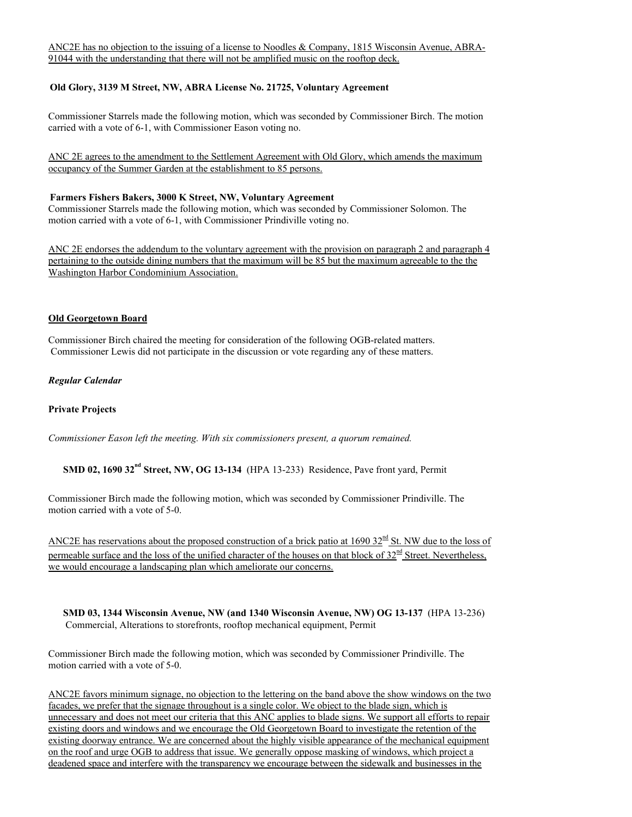## **Old Glory, 3139 M Street, NW, ABRA License No. 21725, Voluntary Agreement**

Commissioner Starrels made the following motion, which was seconded by Commissioner Birch. The motion carried with a vote of 6-1, with Commissioner Eason voting no.

ANC 2E agrees to the amendment to the Settlement Agreement with Old Glory, which amends the maximum occupancy of the Summer Garden at the establishment to 85 persons.

### **Farmers Fishers Bakers, 3000 K Street, NW, Voluntary Agreement**

Commissioner Starrels made the following motion, which was seconded by Commissioner Solomon. The motion carried with a vote of 6-1, with Commissioner Prindiville voting no.

ANC 2E endorses the addendum to the voluntary agreement with the provision on paragraph 2 and paragraph 4 pertaining to the outside dining numbers that the maximum will be 85 but the maximum agreeable to the the Washington Harbor Condominium Association.

#### **Old Georgetown Board**

Commissioner Birch chaired the meeting for consideration of the following OGB-related matters. Commissioner Lewis did not participate in the discussion or vote regarding any of these matters.

*Regular Calendar*

#### **Private Projects**

*Commissioner Eason left the meeting. With six commissioners present, a quorum remained.*

**SMD 02, 1690 32<sup>nd</sup> Street, NW, OG 13-134** (HPA 13-233) Residence, Pave front yard, Permit

Commissioner Birch made the following motion, which was seconded by Commissioner Prindiville. The motion carried with a vote of 5-0.

ANC2E has reservations about the proposed construction of a brick patio at  $1690 32^{nd}$  St. NW due to the loss of permeable surface and the loss of the unified character of the houses on that block of  $32<sup>nd</sup>$  Street. Nevertheless, we would encourage a landscaping plan which ameliorate our concerns.

**SMD 03, 1344 Wisconsin Avenue, NW (and 1340 Wisconsin Avenue, NW) OG 13-137** (HPA 13-236) Commercial, Alterations to storefronts, rooftop mechanical equipment, Permit

Commissioner Birch made the following motion, which was seconded by Commissioner Prindiville. The motion carried with a vote of 5-0.

ANC2E favors minimum signage, no objection to the lettering on the band above the show windows on the two facades, we prefer that the signage throughout is a single color. We object to the blade sign, which is unnecessary and does not meet our criteria that this ANC applies to blade signs. We support all efforts to repair existing doors and windows and we encourage the Old Georgetown Board to investigate the retention of the existing doorway entrance. We are concerned about the highly visible appearance of the mechanical equipment on the roof and urge OGB to address that issue. We generally oppose masking of windows, which project a deadened space and interfere with the transparency we encourage between the sidewalk and businesses in the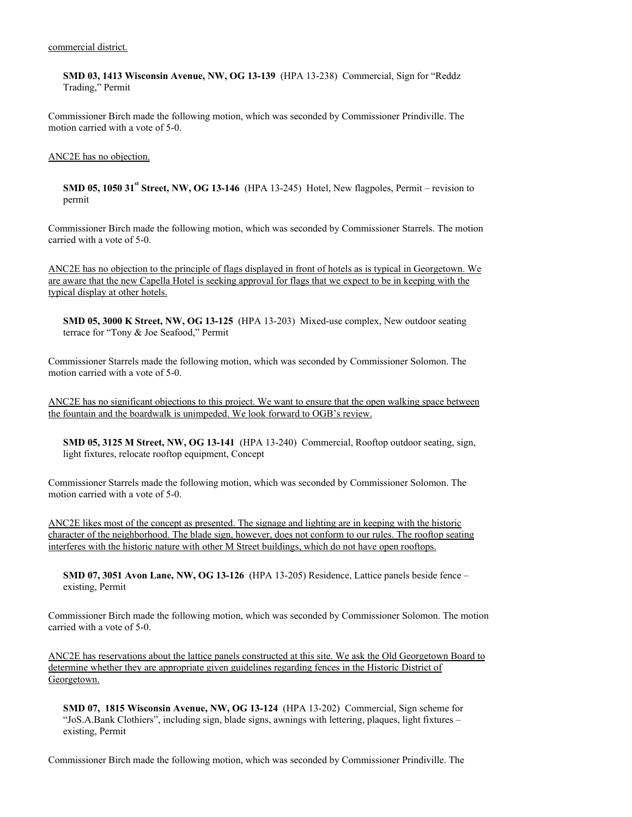**SMD 03, 1413 Wisconsin Avenue, NW, OG 13-139** (HPA 13-238) Commercial, Sign for "Reddz Trading," Permit

Commissioner Birch made the following motion, which was seconded by Commissioner Prindiville. The motion carried with a vote of 5-0.

#### ANC2E has no objection.

**SMD 05, 1050 31<sup>st</sup> Street, NW, OG 13-146** (HPA 13-245) Hotel, New flagpoles, Permit – revision to permit

Commissioner Birch made the following motion, which was seconded by Commissioner Starrels. The motion carried with a vote of 5-0.

ANC2E has no objection to the principle of flags displayed in front of hotels as is typical in Georgetown. We are aware that the new Capella Hotel is seeking approval for flags that we expect to be in keeping with the typical display at other hotels.

**SMD 05, 3000 K Street, NW, OG 13-125** (HPA 13-203) Mixed-use complex, New outdoor seating terrace for "Tony & Joe Seafood," Permit

Commissioner Starrels made the following motion, which was seconded by Commissioner Solomon. The motion carried with a vote of 5-0.

ANC2E has no significant objections to this project. We want to ensure that the open walking space between the fountain and the boardwalk is unimpeded. We look forward to OGB's review.

**SMD 05, 3125 M Street, NW, OG 13-141** (HPA 13-240) Commercial, Rooftop outdoor seating, sign, light fixtures, relocate rooftop equipment, Concept

Commissioner Starrels made the following motion, which was seconded by Commissioner Solomon. The motion carried with a vote of 5-0.

ANC2E likes most of the concept as presented. The signage and lighting are in keeping with the historic character of the neighborhood. The blade sign, however, does not conform to our rules. The rooftop seating interferes with the historic nature with other M Street buildings, which do not have open rooftops.

**SMD 07, 3051 Avon Lane, NW, OG 13-126** (HPA 13-205) Residence, Lattice panels beside fence – existing, Permit

Commissioner Birch made the following motion, which was seconded by Commissioner Solomon. The motion carried with a vote of 5-0.

ANC2E has reservations about the lattice panels constructed at this site. We ask the Old Georgetown Board to determine whether they are appropriate given guidelines regarding fences in the Historic District of Georgetown.

**SMD 07, 1815 Wisconsin Avenue, NW, OG 13-124** (HPA 13-202) Commercial, Sign scheme for "JoS.A.Bank Clothiers", including sign, blade signs, awnings with lettering, plaques, light fixtures – existing, Permit

Commissioner Birch made the following motion, which was seconded by Commissioner Prindiville. The